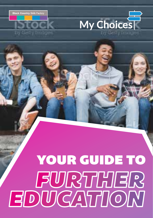

Getty David



### YOUR GUIDE TO**FURTHER**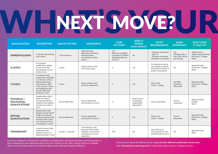### WHAT YOU? UR

| <b>QUALIFICATION</b>                                             | <b>DESCRIPTION</b>                                                                                                                                                                                          | <b>LENGTH OF TIME</b> | <b>ASSESSMENT</b>                                                                                           | <b>LEVEL</b><br><b>OF STUDY</b>                                                          | <b>DOES IT</b><br><b>AWARD</b><br><b>UCAS POINTS?</b>    | <b>ENTRY</b><br><b>REQUIREMENTS</b>                                                             | <b>WORK</b><br><b>EXPERIENCE</b>                                | <b>WHAT DOES</b><br><b>IT LEAD TO?</b>                                         |
|------------------------------------------------------------------|-------------------------------------------------------------------------------------------------------------------------------------------------------------------------------------------------------------|-----------------------|-------------------------------------------------------------------------------------------------------------|------------------------------------------------------------------------------------------|----------------------------------------------------------|-------------------------------------------------------------------------------------------------|-----------------------------------------------------------------|--------------------------------------------------------------------------------|
| <b>APPRENTICESHIPS</b>                                           | A real job with training<br>and a salary                                                                                                                                                                    | 1 Year minimum        | Apprenticeship<br>dependent (including<br>demonstrations.<br>presentations and/or<br>exams)                 | 2/3<br>With the possibility<br>to progress to higher<br>Apprenticeships up<br>to level 7 | <b>No</b>                                                | - Employer dependent<br>$-Age 16+$<br>- Evidence of interest<br>and ability to complete         | Yes.<br>(Paid job with at<br>least 20% off the<br>job training) | - Higher level or<br>degree Apprenticeship<br>- University / College<br>- Work |
| <b>ALEVELS</b>                                                   | An academic<br>qualification, similar<br>in style to GCSEs<br>that prepares you for<br>further study                                                                                                        | 2 years               | Mostly exams at the<br>end of the course                                                                    | 3                                                                                        | Yes                                                      | For individual schools<br>and colleges to decide<br>(commonly 5 GCSEs at<br>grades 4 and above) | No                                                              | - Apprenticeship<br>- University / College<br>- Work                           |
| <b>T LEVELS</b>                                                  | A technical study<br>programme, equivalent<br>to 3 A levels, with an<br>industry placement<br>that makes up 20%<br>of the course. T levels<br>are designed to give<br>you the skills that<br>employers need | 2 years               | Exams, projects and<br>practical assignments                                                                | 3                                                                                        | Yes                                                      | Set by each<br>school / college                                                                 | Yes (80%<br>classroom,<br>20% work)                             | - Apprenticeship<br>- University / College<br>- Work                           |
| <b>TECHNICAL /</b><br><b>VOCATIONAL</b><br><b>QUALIFICATIONS</b> | <b>Qualifications which</b><br>teach you how to<br>do tasks specifically<br>related to the industry<br>and role you want to<br>be in                                                                        | Course dependent      | Course dependent<br>(Coursework & exams)                                                                    | $1+$                                                                                     | Some (course<br>& awarding<br>organisation<br>dependent) | Course dependent                                                                                | Course<br>dependent                                             | - Apprenticeship<br>- College<br>- Work                                        |
| <b>APPLIED</b><br><b>QUALIFICATIONS</b>                          | <b>Qualifications that</b><br>prepare you for further<br>study by combining<br>academic learning with<br>practical skills to give<br>you a broad overview<br>of working in a sector                         | Course dependent      | Course dependent<br>(coursework & exams)                                                                    | 3                                                                                        | Yes                                                      | Set by each<br>school / college                                                                 | Course<br>dependent                                             | - Apprenticeship<br>- University / College<br>- Work                           |
| <b>TRAINEESHIPS</b>                                              | A work focused study<br>programme that<br>prepares you for an<br>Apprenticeship or work                                                                                                                     | 6 weeks - 6 months    | A formal job or exit<br>interview with written<br>feedback, Coursework<br>and exams are course<br>dependent | N/A                                                                                      | No                                                       | Have little to no<br>work experience and<br>qualified below Level 3                             | Yes                                                             | - Apprenticeship<br>- Work                                                     |

Levels are designed to indicate the complexity of qualifications and Apprenticeships, allowing people to draw comparisons and understand where they sit in relation to the other options which are available. There are 8 levels plus entry level, with the higher levels offering the highest difficulty.

Find out more about the different levels at **gov.uk/what-different-qualification-levels-mean** Visit **nationalcareers.service.gov.uk** for information about careers, training and work.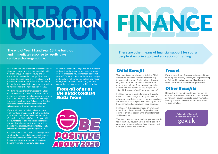### INTRODUCTION



**The end of Year 11 and Year 13, the build-up and immediate response to results days can be a challenging time.** 

Faced with sometimes difficult or scary decisions about next steps? You may like some help with your thinking, particularly if your plans are uncertain or may need to change. This guide is designed to support you after results days, with useful hints and tips, information about support in your local area and links to resources or videos to help you make the right decision for you.

Working with partners from across the Black Country we will be hosting a series of on-line events and webinars to help prepare you for your next steps, also keep an eye on our webpages for useful links from local Colleges and Training Providers **blackcountryskillsfactory.co.uk/ schools/my-choicessupport- post-16-18.**

If you are in need of individualised support visit your local area pages within the guide for information about how to contact your local Connexions or National Careers Service, still not sure? Head to our website and complete the simple on-line request form - we will get back to you **blackcountryskillsfactory.co.uk/ schools/individual-support-andguidance.**

Consider what is most useful to you right now: whether that is immediate sources of support to help you make the best choice for your immediate future or something to consider helping you make longer term decisions.

Look at the section headings and on our website and consider the webinars and events that are of most interest to you. Remember, don't limit yourself. Take the time to explore something you perhaps have not considered before. You never know, there could be a route into your ideal career that you have never considered before...

### *From all of us at the Black Country Skills Team*



**There are other means of financial support for young people staying in approved education or training.**

### *Child Benefit*

Your parents are usually only entitled to Child Benefit for you up to the Monday following 31 August after your 16th birthday, unless you stay on in full-time non-advanced education or approved training. They can continue to be entitled to Child Benefit for you at ages 16, 17, 18 or 19 if you are a 'qualifying young person'.

Full-time non-advanced education will usually be in a school or college but may also include education provided at home, if you were receiving this education before your 16th birthday and the home schooling had previously been approved.

Full-time, in this situation, means an average of more than 12 hours a week of supervised study during term time, not counting breaks for meals and homework.

This would also include a study programme that is for at least 540 hours in any 12-month period. It could also include a traineeship which could last between 6 weeks and 6 months.

### *Travel*

If you are aged 16-18 you can get reduced travel to your place of study and/or your Apprenticeship or Traineeship: **networkwestmidlands.com/ tickets-and-passes/child/16-18-photocard**

### *Other Benefits*

Depending on your circumstances you may be entitled to additional benefits and support such as help with equipment costs, ask at your college, training provider or school appointment when you are enrolling.

> Full details of financial support can be found on **gov.uk**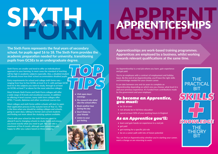**The Sixth Form represents the final years of secondary school, for pupils aged 16 to 18. The Sixth Form provides the academic preparation needed for university, transitioning pupils from GCSEs to an undergraduate degree.** 

Sixth Forms are smaller and tend to offer an individualised approach to your learning. In most cases the standard of teaching will be high in academic subjects especially. Also, a disabled student will already know how their school accommodates disabled pupils.

Entry requirements for school and college sixth forms vary – ranging from four to five GCSEs at level 4 or 5, with perhaps GCSE level 6s in the subjects you want to study, through to at least six GCSEs at level 7 or above for the most selective colleges.

Most Schools Sixth Forms and Sixth Form colleges will offer a wide range of A levels and vocational courses. In addition to offering A-level courses, many sixth form colleges offer BTEC, T Levels, diplomas and other vocational courses too.

Most colleges and sixth forms within schools will start to open their application process in the autumn term of Year 11. This is the time when you should be visiting colleges and schools, going to open days, talking to former and current students and finding out more about the studying options available.

Check with your school (or the sixth form you want to attend if you're changing schools to study them) and ensure you know exactly what you need to get. You can take a maximum of five A Levels, although most universities are happy to offer you a place based on three subjects.

- **• Visit open days/**
- **evenings**
- **• Do research into what else the school offers**
- **• Book another tour during the day**
- **• Don't listen to your friends**
- **• Listen to your gut feeling**



### APPRENTICESHIPS

**Apprenticeships are work-based training programmes. Apprentices are employed by a business, whilst working towards relevant qualifications at the same time.** 

An Apprenticeship is a real job where you learn, gain experience and get paid.

You're an employee with a contract of employment and holiday leave. By the end of an Apprenticeship, you'll have the right skills and knowledge needed for your chosen career.

It can take between one and six years to complete an Apprenticeship depending on which one you choose, what level it is and your previous experience. It's funded from contributions made by the government and your employer.

### *To become an Apprentice, you must:*

- be 16 or over
- not already be in full time education
- spend at least 50% of your working hours in England

### *As an Apprentice you'll:*

- learn and gain hands-on experience in a real job
- get paid
- get training for a specific job role
- be on a career path with lots of future potential

You can find an Apprenticeship whether you're starting your career, want a change or are returning to work.

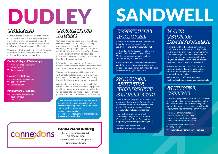

### *COLLEGES*

Dudley Colleges recruit learners onto all levels of courses in lots of sectors, preparing you for the world of work. The Courses have good progression routes and pathways which lead to employment, Apprenticeships or University.

You can visit their websites to access information about their courses and opportunities such as Traineeships and Apprenticeships.

### Dudley College of Technology

For more information contact: T: 01384 363000 W: dudleycol.ac.uk

### Halesowen College

For more information contact: T: 0121 602 7777 W: halesowen.ac.uk

### King Edward VI College

For more information contact: T: 01384 398100 W: kedst.ac.uk

### *CONNEXIONS DUDLEY*

Connexions Dudley works across mainstream schools, special schools, colleges, training providers as well as within the community supporting young people aged 13 – 19 (up to aged 25 for those with learning difficulties and or disabilities) with careers advice guidance, information and support to help prepare them for Post 16 options and beyond.

Information is provided on the Connexions website which serves as a tool and resource base for all young people, parents and professionals.

Throughout the year we will be partnering with schools, colleges, employer and training providers to offer a range of activities through the year for those who will be leaving school.

Additionally there will be a series of activities for those who are above school leaving age and need help to explore further options. All of these will be accessible on a range of our social media platforms that we continually will be developing.

To know about events or to find out about opportunities including vacancies, training opportunities and personal development or support options follow us:

**twitter @cnxsdudley, facebook facebook.com/connexionsdudley Instagram @cnxsdudley**

### DUDLEY SANDWELL

### *CONNEXIONS SANDWELL*

Discuss your options with an independent impartial careers' adviser Contact us on **sandwell\_connexions@sandwell.gov.uk**

or Monday- Friday 9.30am – 4.30pm on 0**7917174735** or **0791717402** (Tues/ Weds/Thurs). Appointments can be by Telephone, Skype or MS Teams.

Check out the website **connexionssandwell. co.uk** for careers information, advice and guidance on your post 16 options and helping you choose the right career for you.

### *SANDWELL COUNCIL'S EMPLOYMENT & SKILLS TEAM*

Think Sandwell can provide support to find a job, including help with CV, completing application forms, interview practice and details of local vacancies are available at **sandwell.gov.uk/apprenticeships**

The Think Sandwell Employment team have a range of vacancies in the Construction and Social Care sectors **enquiries\_recruitment@sandwell.gov.uk**

Vacancies can be found at **sandwell.gov.uk/thinksandwell**

### *BLACK COUNTRY IMPACT PROJECT*

If you are aged 16-29 and are currently not in education, employment or training, Dudley has the Black Country Impact programme. An experienced keyworker will provide custom intensive one-to-one support to help work out your next steps and fund the courses and equipment that will help you to succeed.

To know about events or to find out about opportunities including vacancies, training opportunities and personal development or support options follow us:

twitter **twitter.com/Connexion\_Jobs** facebook **facebook.com/connexions.sandwell/**

### *SANDWELL COLLEGE*

Sandwell College recruit learners onto all levels of courses in lots of sectors, preparing you for the world of work. The Courses have good progression routes and pathways which lead to employment, Apprenticeships or University.

You can visit their websites to access information about their courses and opportunities such as Traineeships and Apprenticeships.

For more information contact: T: **0800 622006** W: **sandwell.ac.uk/school-leaver-courses**



### *Connexions Dudley*

For more information contact: Tel: 01384 811400 Email: Connexions@dudley.gov.uk connexionsdudley.org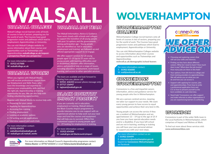### WALSALL GOLLFGE *WALSALL IAG TEAM* WALSALL WOLVERHAMPTON

Walsall College recruit learners onto all levels of courses in lots of sectors, preparing you for the world of work. The Courses have good progression routes and pathways which lead to employment, Apprenticeships or University.

You can visit Walsall Colleges website to access information about their courses and opportunities such as Traineeships and Apprenticeships **walsallcollege.ac.uk/requesta-prospectus/thank-you-prospectus/**

For more information contact: **T: 01922 657000 W: walsallcollege.ac.uk**

### *WALSALL WORKS*

When you register with Walsall Works. you will receive professional support from our Employment and Skills Team, who have the knowledge and expertise to improve your employability skills and find the right job, Apprenticeship or training opportunity for you. We can also help with finding volunteering opportunities.

Register with Walsall Works to receive help with:

- Preparing for your career
- Applying for Apprenticeships
- Accessing free training
- Finding employment

**Endless Possibilities** 

- Looking at academic options
- CV writing and job applications
- Interview support and work trials

For more information contact: T: **01922 654353** E: **walsallworks@walsall.gov.uk** W: **walsall.gov.uk/walsall\_works**

The Walsall Information, Advice & Guidance Team work closely with schools and colleges to support the transition of all young people with post 16 options and the governments raising participation age - Young people who are identified as 'not in education. employment and training' are followed up and offered appropriate support to re-engage.

We offer support services for all young people aged 13-19 (up to 25 years old for young people with learning difficulties and/ or disabilities). Advisers offer information, advice and practical help on a range of issues, including education, employment, work-based learning, and access to other specialist services.

The team are available and look forward to hearing from you, please call: T: **01922 636333** (answer phone message only) M: **07717 156947** E: **iagteam@walsall.gov.uk**

### *BLACK COUNTRY IMPACT PROJECT*

If you are currently not in education, employment or training, Walsall delivers the Black Country Impact programme to provide intensive one-to-one support with an experienced advisor to help work out your next steps and fund the courses and equipment that will help you to succeed. Offers free customised support to young people aged 16 - 29 looking for employment or training.

For more information contact: T: **01922 654364** W: **walsall.gov.uk/blackcountryimpact**

For more information on Walsall Council's Apprenticeship programme contact: **Helena Baxter** on **07767 615214** or email **Helena.baxter@walsall.gov.uk**

### WOLVERHAMPTON *COLLEGE*

Wolverhampton College recruit learners onto all levels of courses in lots of sectors, preparing you for the world of work. The Courses have good progression routes and pathways which lead to employment, Apprenticeships or University.

You can visit Wolverhampton Colleges website to access information about their courses and opportunities such as Traineeships and Apprenticeships

**wolvcoll.ac.uk/demographic/school-leavers**

For more information contact: T: **01902 836000** W: **mail@wolvecoll.ac.uk** 

### *CONNEXIONS WOLVERHAMPTON*

Connexions is a free and impartial careers information, advice and guidance service for young people who live in Wolverhampton.

We are a person-centred service, meaning we tailor our support to your needs. We want every young person to have access to equal opportunities and achieve their very best in life.

Young people can access the service if they are a resident of Wolverhampton and are aged between 13 – 19 (up to the age of 25 if you have you have special education needs and/or a disability). If you have left school and are not in learning, working or training you will have your own personal adviser to support you with your next steps.

### For more information contact us on: T: **01902 554499**

E: **connexions@wolverhampton.gov.uk** Search for **Connexions Wolverhampton** on Facebook



- Choosing and exploring careers that will suit your skills and interests.
- Finding out key facts about different careers. What do I need to learn? How much does is pay? What does the job involve? How many jobs are there in this field?
- Your options; from 6th form to college and from training providers to apprenticeships. We will advise you on what you can do and how you can access it.
- Support with applying for courses, jobs and apprenticeships. From how to write a professional application form and CV, to how to present yourself as the best candidate at a job interview.
- Need help? Connexions can offer support and make referrals to other organisations if you are experiencing barriers to achieving.

### *WORKBOX*

Connexions is part of the wider Skills team in the Local Authority in Wolverhampton, which comprises of Impact and Wolves at Work.

To find out more about these services visit: **www.wolvesworkbox.com**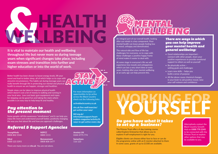## KLBEING

**It is vital to maintain our health and wellbeing throughout life but never more so during teenage years when significant changes take place, including exam stresses and transition into further and higher education or into the world of work.** 

Better health has been shown to boost energy levels, lift your mood and lead to better sleep, all of which helps us to cope with stressful circumstances. The habits set during teenage years can really benefit through life in protecting our mental and physical health to ensure we are happier, stronger and healthier.

Simple steps can be taken to improve physical health which doesn't cost a lot of money ie walking and running in your local area. Low cost basic gym equipment and ropes for skipping can be good fun and taking the stairs where possible is an easy way to help keep fit and healthy.

### *Pay attention to the present moment*

Some people call this awareness "mindfulness" and it can help you enjoy life more and understand yourself better, positively changing the way you feel about life and how you approach challenges.

### *Referral & Support Agencies*

**YoungMinds** 0808 802 5544

**NSPCC**  0800 1111

**Mind**  0300 123 3393 **Bereavement** 0808 808 1677

There are many more on **nhs.uk** You are not alone.



across the Black Country check out the following links:

**activeblackcountry.co.uk**

**nhs.uk/live-well/exercise/ get-active-your-way/** 

**bhf.org.uk/ informationsupport/heartmatters-magazine/activity/8 ways-to-get-active-every-day**

**Anxiety UK**  0344 4775 774

**Samaritans**  116 123



An integral part of our overall health, looking after our minds is a key component. Poor mental health can leave people feeling low in mood, unhappy and demotivated.

The natural ebb and flow of life has challenges for everyone, so to cope with these challenges a positive happy frame of mind makes it easier to deal with.

At some stage in everyone's life we will experience low moods and unhappiness which can last a very short time or even years, looking after your mental wellbeing at an early age can help prevent this.

### *There are ways in which you can help improve your mental health and general wellbeing:*

- Good relationships are important connect with other people, share your positive experiences to provide emotional support to others as well as yourself
- Be physically active setting goals and challenges
- Learn new skills helps you build a sense of purpose
- All the above cause chemical changes in your brain to aid positive mood, raise your self-esteem and confidence

### *Do you have what it takes to set up a business?*

The Princes Trust offer a 4 day training course called Explore Enterprise that allows you to explore if self-employment is right for you.

Eligible clients can choose either face to face or can do the programme online with an E-mentor attached to them In some cases, grants of up to £1500 are available.

Alternatively contact the Black Country Growth Hub on **0300 770 2245** to be connected with the Princes Trust or explore other options that may be available to you.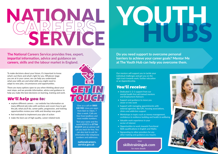# SERVICE

**The National Careers Service provides free, expert, impartial information, advice and guidance on careers, skills and the labour market in England.**

To make decisions about your future, it's important to know what's out there and what's right for you. Whatever stage you are at in your career, we can help you understand what your skills are and what skills you might need to adapt to new jobs, circumstances and opportunities.

There are many options open to you when thinking about your next steps, and we provide information, advice and guidance to help you make the best decisions on learning, training and work.

### *We'll help you to:*

- explore different careers our website has information on many different job roles with sections and covers how to get the job, what you'll do, career paths, progression, and training opportunities review your skills and develop new goals
- feel motivated to implement your plan of action
- make the best use of high-quality, career-related tools





Give us a call on **0800 100 900**. Lines are open from 8am to 10pm, 7 days a week. Calls are free from landlines and most mobile numbers. Text your name and the word ADVICE to **07766 413219** and an adviser will call you back for free. You can also text to ask for information like telephone numbers and addresses.

> **nationalcareers. service.gov.uk**

## YOUTH.

**Do you need support to overcome personal barriers to achieve your career goals? Mentor Me at The Youth Hub can help you overcome them.**

Our mentors will support you to tackle your individual challenges and get you on the right track towards work, further education or an Apprenticeship.

### *You'll receive:*

- Dedicated 1-2-1 support from our mental health first aid trained mentors and Employment Advisors
- Support and guidance to move you closer or into work
- Support with managing appointments with external agencies, like GPs, housing associations, clinics and addiction support
- Workshops in topics such as money management, confidence & resilience building and health & wellbeing
- Valuable work experience in your sector of interest
- Opportunities to work towards Functional Skills qualifications in English and Maths
- Signposting to other providers for any other training and guidance you require.

**Visit skillstraininguk.com** for more details